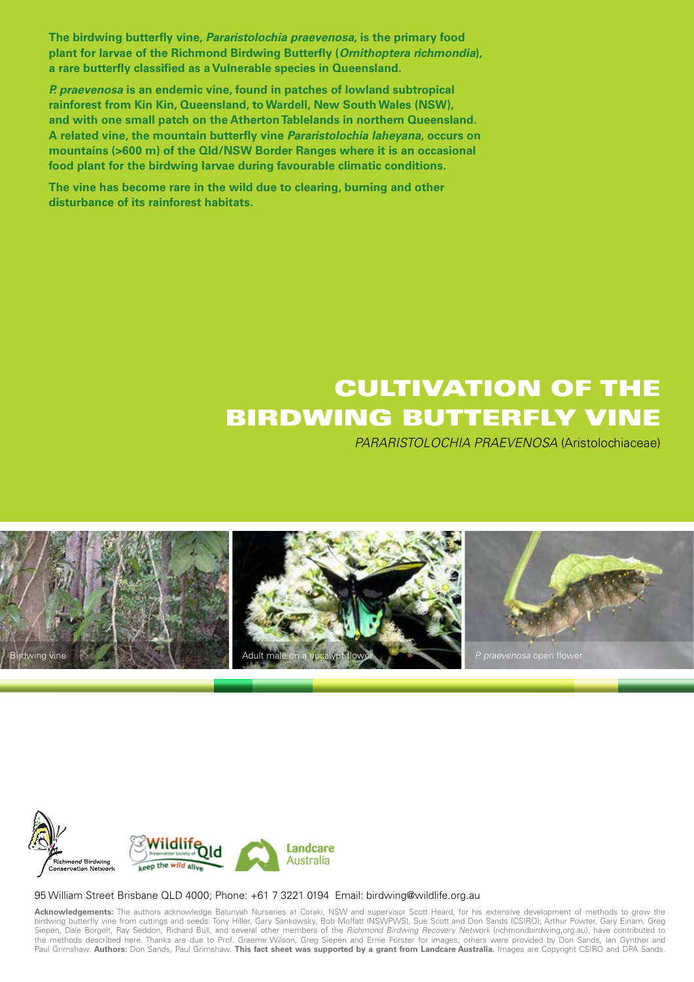**The birdwing butterfly vine, Pararistolochia praevenosa, is the primary food plant for larvae of the Richmond Birdwing Butterfly (Ornithoptera richmondia), a rare butterfly classified as a Vulnerable species in Queensland.** 

**P. praevenosa is an endemic vine, found in patches of lowland subtropical rainforest from Kin Kin, Queensland, to Wardell, New South Wales (NSW), and with one small patch on the AthertonTablelands in northern Queensland. A related vine, the mountain butterfly vine Pararistolochia laheyana, occurs on mountains (>600 m) of the Qld/NSW Border Ranges where it is an occasional food plant for the birdwing larvae during favourable climatic conditions.** 

**The vine has become rare in the wild due to clearing, burning and other disturbance of its rainforest habitats.** 

# CULTIVATION OF THE BIRDWING butterfly vine

PARARISTOLOCHIA PRAEVENOSA (Aristolochiaceae)





#### 95 William Street Brisbane QLD 4000; Phone: +61 7 3221 0194 Email: birdwing@wildlife.org.au

**Acknowledgements:** The authors acknowledge Balunyah Nurseries at Coraki, NSW and supervisor Scott Heard, for his extensive development of methods to grow the birdwing butterfly vine from cuttings and seeds. Tony Hiller, Gary Sankowsky, Bob Moffatt (NSWPWS), Sue Scott and Don Sands (CSIRO); Arthur Powter, Gary Einam, Greg Siepen, Dale Borgelt, Ray Seddon, Richard Bull, and several other members of the *Richmond Birdwing Recovery Network* (richmondbirdwing,org.au), have contributed to the methods described here. Thanks are due to Prof. Graeme Wilson, Greg Siepen and Ernie Forster for images, others were provided by Don Sands, Ian Gynther and Paul Grimshaw. Authors: Don Sands, Paul Grimshaw. This fact sheet was supported by a grant from Landcare Australia. Images are Copyright CSIRO and DPA Sands.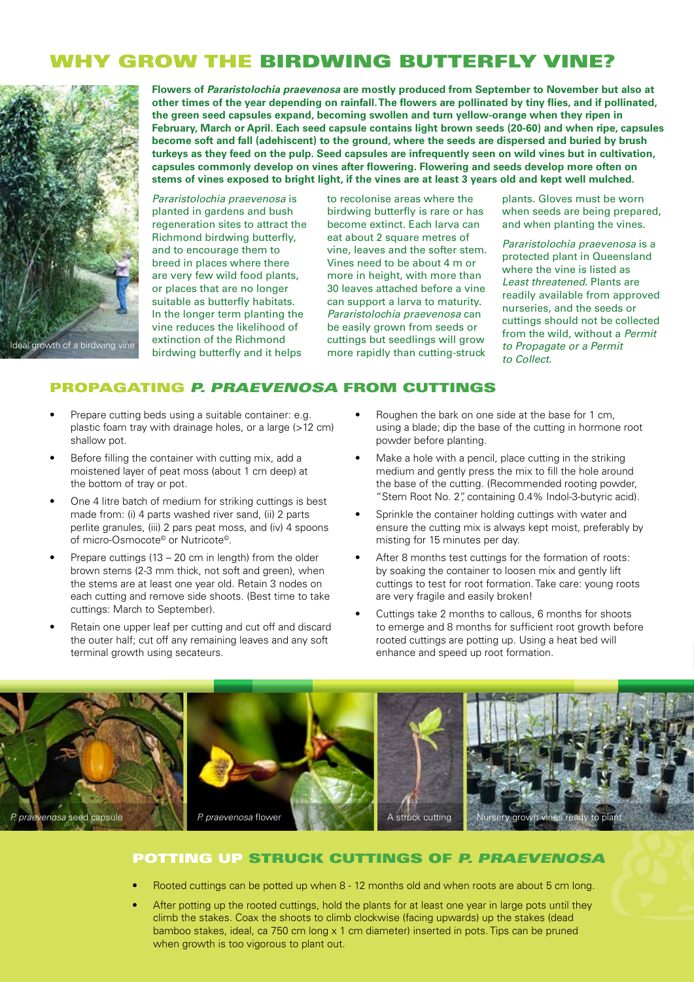## WHY GROW THE BIRDWING BUTTERFLY VINE?



**Flowers of Pararistolochia praevenosa are mostly produced from September to November but also at other times of the year depending on rainfall. The flowers are pollinated by tiny flies, and if pollinated, the green seed capsules expand, becoming swollen and turn yellow-orange when they ripen in February, March or April. Each seed capsule contains light brown seeds (20-60) and when ripe, capsules become soft and fall (adehiscent) to the ground, where the seeds are dispersed and buried by brush turkeys as they feed on the pulp. Seed capsules are infrequently seen on wild vines but in cultivation, capsules commonly develop on vines after flowering. Flowering and seeds develop more often on stems of vines exposed to bright light, if the vines are at least 3 years old and kept well mulched.**

Pararistolochia praevenosa is planted in gardens and bush regeneration sites to attract the Richmond birdwing butterfly, and to encourage them to breed in places where there are very few wild food plants, or places that are no longer suitable as butterfly habitats. In the longer term planting the vine reduces the likelihood of extinction of the Richmond birdwing butterfly and it helps

to recolonise areas where the birdwing butterfly is rare or has become extinct. Each larva can eat about 2 square metres of vine, leaves and the softer stem. Vines need to be about 4 m or more in height, with more than 30 leaves attached before a vine can support a larva to maturity. Pararistolochia praevenosa can be easily grown from seeds or cuttings but seedlings will grow more rapidly than cutting-struck

plants. Gloves must be worn when seeds are being prepared, and when planting the vines.

Pararistolochia praevenosa is a protected plant in Queensland where the vine is listed as Least threatened. Plants are readily available from approved nurseries, and the seeds or cuttings should not be collected from the wild, without a Permit to Propagate or a Permit to Collect.

#### Propagating *P. praevenosa* from cuttings

- Prepare cutting beds using a suitable container: e.g. plastic foam tray with drainage holes, or a large (>12 cm) shallow pot.
- Before filling the container with cutting mix, add a moistened layer of peat moss (about 1 cm deep) at the bottom of tray or pot.
- One 4 litre batch of medium for striking cuttings is best made from: (i) 4 parts washed river sand, (ii) 2 parts perlite granules, (iii) 2 pars peat moss, and (iv) 4 spoons of micro-Osmocote<sup>®</sup> or Nutricote<sup>®</sup>.
- Prepare cuttings (13 20 cm in length) from the older brown stems (2-3 mm thick, not soft and green), when the stems are at least one year old. Retain 3 nodes on each cutting and remove side shoots. (Best time to take cuttings: March to September).
- Retain one upper leaf per cutting and cut off and discard the outer half; cut off any remaining leaves and any soft terminal growth using secateurs.
- Roughen the bark on one side at the base for 1 cm, using a blade; dip the base of the cutting in hormone root powder before planting.
- Make a hole with a pencil, place cutting in the striking medium and gently press the mix to fill the hole around the base of the cutting. (Recommended rooting powder, "Stem Root No. 2", containing 0.4% Indol-3-butyric acid).
- Sprinkle the container holding cuttings with water and ensure the cutting mix is always kept moist, preferably by misting for 15 minutes per day.
- After 8 months test cuttings for the formation of roots: by soaking the container to loosen mix and gently lift cuttings to test for root formation. Take care: young roots are very fragile and easily broken!
- Cuttings take 2 months to callous, 6 months for shoots to emerge and 8 months for sufficient root growth before rooted cuttings are potting up. Using a heat bed will enhance and speed up root formation.



#### Potting up struck cuttings of *P. praevenosa*

- Rooted cuttings can be potted up when 8 12 months old and when roots are about 5 cm long.
- After potting up the rooted cuttings, hold the plants for at least one year in large pots until they climb the stakes. Coax the shoots to climb clockwise (facing upwards) up the stakes (dead bamboo stakes, ideal, ca 750 cm long x 1 cm diameter) inserted in pots. Tips can be pruned when growth is too vigorous to plant out.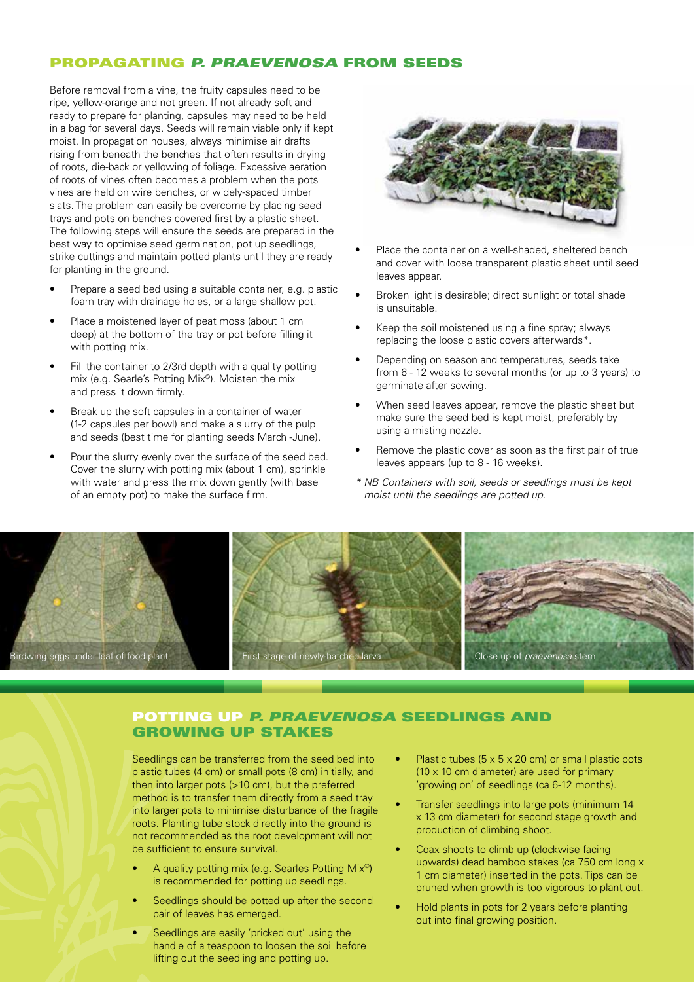#### Propagating *P. praevenosa* from seeds

Before removal from a vine, the fruity capsules need to be ripe, yellow-orange and not green. If not already soft and ready to prepare for planting, capsules may need to be held in a bag for several days. Seeds will remain viable only if kept moist. In propagation houses, always minimise air drafts rising from beneath the benches that often results in drying of roots, die-back or yellowing of foliage. Excessive aeration of roots of vines often becomes a problem when the pots vines are held on wire benches, or widely-spaced timber slats. The problem can easily be overcome by placing seed trays and pots on benches covered first by a plastic sheet. The following steps will ensure the seeds are prepared in the best way to optimise seed germination, pot up seedlings, strike cuttings and maintain potted plants until they are ready for planting in the ground.

- Prepare a seed bed using a suitable container, e.g. plastic foam tray with drainage holes, or a large shallow pot.
- Place a moistened layer of peat moss (about 1 cm deep) at the bottom of the tray or pot before filling it with potting mix.
- Fill the container to 2/3rd depth with a quality potting mix (e.g. Searle's Potting Mix©). Moisten the mix and press it down firmly.
- Break up the soft capsules in a container of water (1-2 capsules per bowl) and make a slurry of the pulp and seeds (best time for planting seeds March -June).
- Pour the slurry evenly over the surface of the seed bed. Cover the slurry with potting mix (about 1 cm), sprinkle with water and press the mix down gently (with base of an empty pot) to make the surface firm.



- Place the container on a well-shaded, sheltered bench and cover with loose transparent plastic sheet until seed leaves appear.
- Broken light is desirable; direct sunlight or total shade is unsuitable.
- Keep the soil moistened using a fine spray; always replacing the loose plastic covers afterwards\*.
- Depending on season and temperatures, seeds take from 6 - 12 weeks to several months (or up to 3 years) to germinate after sowing.
- When seed leaves appear, remove the plastic sheet but make sure the seed bed is kept moist, preferably by using a misting nozzle.
- Remove the plastic cover as soon as the first pair of true leaves appears (up to 8 - 16 weeks).
- *\* NB Containers with soil, seeds or seedlings must be kept moist until the seedlings are potted up.*



#### Potting up *P. praevenosa* seedlings and growing up stakes

Seedlings can be transferred from the seed bed into plastic tubes (4 cm) or small pots (8 cm) initially, and then into larger pots (>10 cm), but the preferred method is to transfer them directly from a seed tray into larger pots to minimise disturbance of the fragile roots. Planting tube stock directly into the ground is not recommended as the root development will not be sufficient to ensure survival.

- A quality potting mix (e.g. Searles Potting Mix<sup>®</sup>) is recommended for potting up seedlings.
- Seedlings should be potted up after the second pair of leaves has emerged.
- Seedlings are easily 'pricked out' using the handle of a teaspoon to loosen the soil before lifting out the seedling and potting up.
- Plastic tubes ( $5 \times 5 \times 20$  cm) or small plastic pots (10 x 10 cm diameter) are used for primary 'growing on' of seedlings (ca 6-12 months).
- Transfer seedlings into large pots (minimum 14 x 13 cm diameter) for second stage growth and production of climbing shoot.
- Coax shoots to climb up (clockwise facing upwards) dead bamboo stakes (ca 750 cm long x 1 cm diameter) inserted in the pots. Tips can be pruned when growth is too vigorous to plant out.
- Hold plants in pots for 2 years before planting out into final growing position.